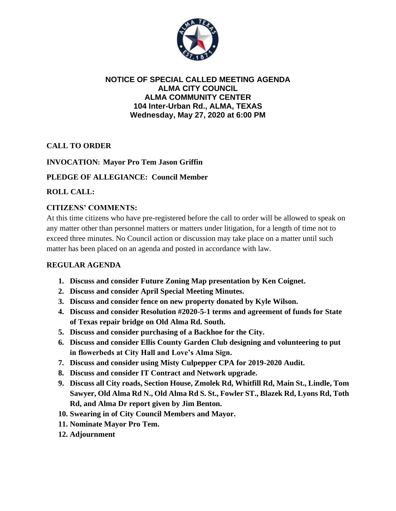

### **NOTICE OF SPECIAL CALLED MEETING AGENDA ALMA CITY COUNCIL ALMA COMMUNITY CENTER 104 Inter-Urban Rd., ALMA, TEXAS Wednesday, May 27, 2020 at 6:00 PM**

# **CALL TO ORDER**

# **INVOCATION: Mayor Pro Tem Jason Griffin**

## **PLEDGE OF ALLEGIANCE: Council Member**

### **ROLL CALL:**

## **CITIZENS' COMMENTS:**

At this time citizens who have pre-registered before the call to order will be allowed to speak on any matter other than personnel matters or matters under litigation, for a length of time not to exceed three minutes. No Council action or discussion may take place on a matter until such matter has been placed on an agenda and posted in accordance with law.

#### **REGULAR AGENDA**

- **1. Discuss and consider Future Zoning Map presentation by Ken Coignet.**
- **2. Discuss and consider April Special Meeting Minutes.**
- **3. Discuss and consider fence on new property donated by Kyle Wilson.**
- **4. Discuss and consider Resolution #2020-5-1 terms and agreement of funds for State of Texas repair bridge on Old Alma Rd. South.**
- **5. Discuss and consider purchasing of a Backhoe for the City.**
- **6. Discuss and consider Ellis County Garden Club designing and volunteering to put in flowerbeds at City Hall and Love's Alma Sign.**
- **7. Discuss and consider using Misty Culpepper CPA for 2019-2020 Audit.**
- **8. Discuss and consider IT Contract and Network upgrade.**
- **9. Discuss all City roads, Section House, Zmolek Rd, Whitfill Rd, Main St., Lindle, Tom Sawyer, Old Alma Rd N., Old Alma Rd S. St., Fowler ST., Blazek Rd, Lyons Rd, Toth Rd, and Alma Dr report given by Jim Benton.**
- **10. Swearing in of City Council Members and Mayor.**
- **11. Nominate Mayor Pro Tem.**
- **12. Adjournment**